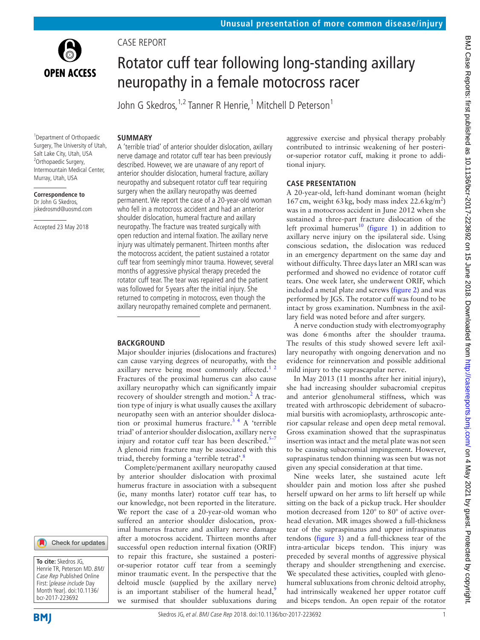

Case report

# Rotator cuff tear following long-standing axillary neuropathy in a female motocross racer

John G Skedros, <sup>1,2</sup> Tanner R Henrie, <sup>1</sup> Mitchell D Peterson <sup>1</sup>

#### **Summary**

1 Department of Orthopaedic Surgery, The University of Utah, Salt Lake City, Utah, USA <sup>2</sup>Orthopaedic Surgery, Intermountain Medical Center, Murray, Utah, USA

**Correspondence to** Dr John G Skedros, jskedrosmd@uosmd.com

Accepted 23 May 2018

A 'terrible triad' of anterior shoulder dislocation, axillary nerve damage and rotator cuff tear has been previously described. However, we are unaware of any report of anterior shoulder dislocation, humeral fracture, axillary neuropathy and subsequent rotator cuff tear requiring surgery when the axillary neuropathy was deemed permanent. We report the case of a 20-year-old woman who fell in a motocross accident and had an anterior shoulder dislocation, humeral fracture and axillary neuropathy. The fracture was treated surgically with open reduction and internal fixation. The axillary nerve injury was ultimately permanent. Thirteen months after the motocross accident, the patient sustained a rotator cuff tear from seemingly minor trauma. However, several months of aggressive physical therapy preceded the rotator cuff tear. The tear was repaired and the patient was followed for 5 years after the initial injury. She returned to competing in motocross, even though the axillary neuropathy remained complete and permanent.

### **Background**

Major shoulder injuries (dislocations and fractures) can cause varying degrees of neuropathy, with the axillary nerve being most commonly affected.<sup>1</sup> <sup>2</sup> Fractures of the proximal humerus can also cause axillary neuropathy which can significantly impair recovery of shoulder strength and motion.<sup>[2](#page-3-1)</sup> A traction type of injury is what usually causes the axillary neuropathy seen with an anterior shoulder dislocation or proximal humerus fracture.<sup>34</sup> A 'terrible triad' of anterior shoulder dislocation, axillary nerve injury and rotator cuff tear has been described. $5-7$ A glenoid rim fracture may be associated with this triad, thereby forming a 'terrible tetrad'[.8](#page-3-4)

Complete/permanent axillary neuropathy caused by anterior shoulder dislocation with proximal humerus fracture in association with a subsequent (ie, many months later) rotator cuff tear has, to our knowledge, not been reported in the literature. We report the case of a 20-year-old woman who suffered an anterior shoulder dislocation, proximal humerus fracture and axillary nerve damage after a motocross accident. Thirteen months after successful open reduction internal fixation (ORIF) to repair this fracture, she sustained a posterior-superior rotator cuff tear from a seemingly minor traumatic event. In the perspective that the deltoid muscle (supplied by the axillary nerve) is an important stabiliser of the humeral head, $\frac{9}{2}$  $\frac{9}{2}$  $\frac{9}{2}$ we surmised that shoulder subluxations during

aggressive exercise and physical therapy probably contributed to intrinsic weakening of her posterior-superior rotator cuff, making it prone to additional injury.

#### **Case presentation**

A 20-year-old, left-hand dominant woman (height 167 cm, weight 63 kg, body mass index  $22.6 \text{ kg/m}^2$ ) was in a motocross accident in June 2012 when she sustained a three-part fracture dislocation of the left proximal humerus<sup>[10](#page-3-6)</sup> ([figure](#page-1-0) 1) in addition to axillary nerve injury on the ipsilateral side. Using conscious sedation, the dislocation was reduced in an emergency department on the same day and without difficulty. Three days later an MRI scan was performed and showed no evidence of rotator cuff tears. One week later, she underwent ORIF, which included a metal plate and screws ([figure](#page-1-1) 2) and was performed by JGS. The rotator cuff was found to be intact by gross examination. Numbness in the axillary field was noted before and after surgery.

A nerve conduction study with electromyography was done 6months after the shoulder trauma. The results of this study showed severe left axillary neuropathy with ongoing denervation and no evidence for reinnervation and possible additional mild injury to the suprascapular nerve.

In May 2013 (11 months after her initial injury), she had increasing shoulder subacromial crepitus and anterior glenohumeral stiffness, which was treated with arthroscopic debridement of subacromial bursitis with acromioplasty, arthroscopic anterior capsular release and open deep metal removal. Gross examination showed that the supraspinatus insertion was intact and the metal plate was not seen to be causing subacromial impingement. However, supraspinatus tendon thinning was seen but was not given any special consideration at that time.

Nine weeks later, she sustained acute left shoulder pain and motion loss after she pushed herself upward on her arms to lift herself up while sitting on the back of a pickup truck. Her shoulder motion decreased from 120° to 80° of active overhead elevation. MR images showed a full-thickness tear of the supraspinatus and upper infraspinatus tendons ([figure](#page-1-2) 3) and a full-thickness tear of the intra-articular biceps tendon. This injury was preceded by several months of aggressive physical therapy and shoulder strengthening and exercise. We speculated these activities, coupled with glenohumeral subluxations from chronic deltoid atrophy, had intrinsically weakened her upper rotator cuff and biceps tendon. An open repair of the rotator

**To cite:** Skedros JG, Henrie TR, Peterson MD. BMJ Case Rep Published Online First: [please include Day Month Year]. doi:10.1136/ bcr-2017-223692

Check for updates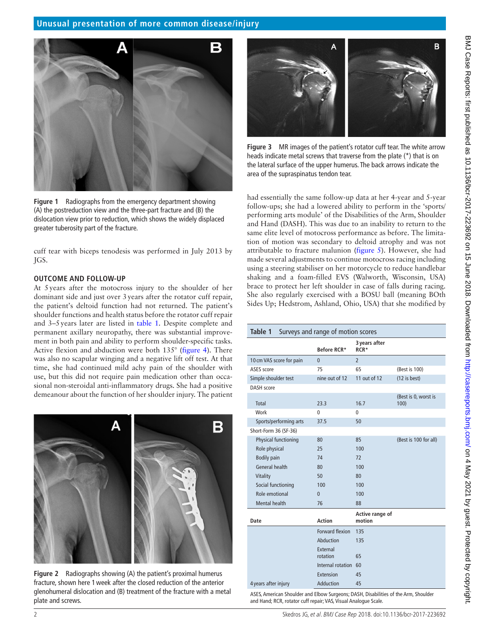

**Figure 1** Radiographs from the emergency department showing (A) the postreduction view and the three-part fracture and (B) the dislocation view prior to reduction, which shows the widely displaced greater tuberosity part of the fracture.

<span id="page-1-0"></span>cuff tear with biceps tenodesis was performed in July 2013 by JGS.

#### **Outcome and follow-up**

At 5years after the motocross injury to the shoulder of her dominant side and just over 3years after the rotator cuff repair, the patient's deltoid function had not returned. The patient's shoulder functions and health status before the rotator cuff repair and 3–5years later are listed in [table](#page-1-3) 1. Despite complete and permanent axillary neuropathy, there was substantial improvement in both pain and ability to perform shoulder-specific tasks. Active flexion and abduction were both 135° [\(figure](#page-2-0) 4). There was also no scapular winging and a negative lift off test. At that time, she had continued mild achy pain of the shoulder with use, but this did not require pain medication other than occasional non-steroidal anti-inflammatory drugs. She had a positive demeanour about the function of her shoulder injury. The patient

<span id="page-1-1"></span>

**Figure 2** Radiographs showing (A) the patient's proximal humerus fracture, shown here 1week after the closed reduction of the anterior glenohumeral dislocation and (B) treatment of the fracture with a metal plate and screws.



**Figure 3** MR images of the patient's rotator cuff tear. The white arrow heads indicate metal screws that traverse from the plate (\*) that is on the lateral surface of the upper humerus. The back arrows indicate the area of the supraspinatus tendon tear.

<span id="page-1-2"></span>had essentially the same follow-up data at her 4-year and 5-year follow-ups; she had a lowered ability to perform in the 'sports/ performing arts module' of the Disabilities of the Arm, Shoulder and Hand (DASH). This was due to an inability to return to the same elite level of motocross performance as before. The limitation of motion was secondary to deltoid atrophy and was not attributable to fracture malunion [\(figure](#page-2-1) 5). However, she had made several adjustments to continue motocross racing including using a steering stabiliser on her motorcycle to reduce handlebar shaking and a foam-filled EVS (Walworth, Wisconsin, USA) brace to protect her left shoulder in case of falls during racing. She also regularly exercised with a BOSU ball (meaning BOth Sides Up; Hedstrom, Ashland, Ohio, USA) that she modified by

<span id="page-1-3"></span>

| Table 1<br>Surveys and range of motion scores |                      |                           |                              |
|-----------------------------------------------|----------------------|---------------------------|------------------------------|
|                                               | Before RCR*          | 3 years after<br>RCR*     |                              |
| 10 cm VAS score for pain                      | $\mathbf{0}$         | $\overline{2}$            |                              |
| ASES score                                    | 75                   | 65                        | (Best is 100)                |
| Simple shoulder test                          | nine out of 12       | 11 out of 12              | $(12$ is best)               |
| <b>DASH</b> score                             |                      |                           |                              |
| <b>Total</b>                                  | 23.3                 | 16.7                      | (Best is 0, worst is<br>100) |
| Work                                          | 0                    | 0                         |                              |
| Sports/performing arts                        | 37.5                 | 50                        |                              |
| Short-Form 36 (SF-36)                         |                      |                           |                              |
| Physical functioning                          | 80                   | 85                        | (Best is 100 for all)        |
| Role physical                                 | 25                   | 100                       |                              |
| <b>Bodily pain</b>                            | 74                   | 72                        |                              |
| General health                                | 80                   | 100                       |                              |
| Vitality                                      | 50                   | 80                        |                              |
| Social functioning                            | 100                  | 100                       |                              |
| Role emotional                                | $\Omega$             | 100                       |                              |
| Mental health                                 | 76                   | 88                        |                              |
| Date                                          | <b>Action</b>        | Active range of<br>motion |                              |
|                                               | Forward flexion      | 135                       |                              |
|                                               | Abduction            | 135                       |                              |
|                                               | External             |                           |                              |
|                                               | rotation             | 65                        |                              |
|                                               | Internal rotation 60 |                           |                              |
|                                               | Extension            | 45                        |                              |
| 4 years after injury                          | Adduction            | 45                        |                              |

ASES, American Shoulder and Elbow Surgeons; DASH, Disabilities of the Arm, Shoulder and Hand; RCR, rotator cuff repair; VAS, Visual Analogue Scale.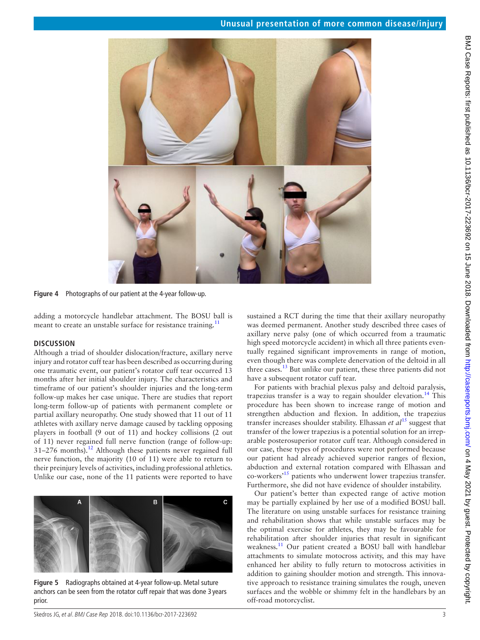

**Figure 4** Photographs of our patient at the 4-year follow-up.

adding a motorcycle handlebar attachment. The BOSU ball is meant to create an unstable surface for resistance training.<sup>11</sup>

#### **Discussion**

Although a triad of shoulder dislocation/fracture, axillary nerve injury and rotator cuff tear has been described as occurring during one traumatic event, our patient's rotator cuff tear occurred 13 months after her initial shoulder injury. The characteristics and timeframe of our patient's shoulder injuries and the long-term follow-up makes her case unique. There are studies that report long-term follow-up of patients with permanent complete or partial axillary neuropathy. One study showed that 11 out of 11 athletes with axillary nerve damage caused by tackling opposing players in football (9 out of 11) and hockey collisions (2 out of 11) never regained full nerve function (range of follow-up:  $31-276$  months).<sup>12</sup> Although these patients never regained full nerve function, the majority (10 of 11) were able to return to their preinjury levels of activities, including professional athletics. Unlike our case, none of the 11 patients were reported to have



<span id="page-2-1"></span>**Figure 5** Radiographs obtained at 4-year follow-up. Metal suture anchors can be seen from the rotator cuff repair that was done 3 years prior.

<span id="page-2-0"></span>sustained a RCT during the time that their axillary neuropathy was deemed permanent. Another study described three cases of axillary nerve palsy (one of which occurred from a traumatic high speed motorcycle accident) in which all three patients eventually regained significant improvements in range of motion, even though there was complete denervation of the deltoid in all three cases. $^{13}$  But unlike our patient, these three patients did not have a subsequent rotator cuff tear.

For patients with brachial plexus palsy and deltoid paralysis, trapezius transfer is a way to regain shoulder elevation.<sup>[14](#page-3-10)</sup> This procedure has been shown to increase range of motion and strengthen abduction and flexion. In addition, the trapezius transfer increases shoulder stability. Elhassan *et al*[15](#page-3-11) suggest that transfer of the lower trapezius is a potential solution for an irreparable posterosuperior rotator cuff tear. Although considered in our case, these types of procedures were not performed because our patient had already achieved superior ranges of flexion, abduction and external rotation compared with Elhassan and co-workers['15](#page-3-11) patients who underwent lower trapezius transfer. Furthermore, she did not have evidence of shoulder instability.

Our patient's better than expected range of active motion may be partially explained by her use of a modified BOSU ball. The literature on using unstable surfaces for resistance training and rehabilitation shows that while unstable surfaces may be the optimal exercise for athletes, they may be favourable for rehabilitation after shoulder injuries that result in significant weakness.<sup>11</sup> Our patient created a BOSU ball with handlebar attachments to simulate motocross activity, and this may have enhanced her ability to fully return to motocross activities in addition to gaining shoulder motion and strength. This innovative approach to resistance training simulates the rough, uneven surfaces and the wobble or shimmy felt in the handlebars by an off-road motorcyclist.